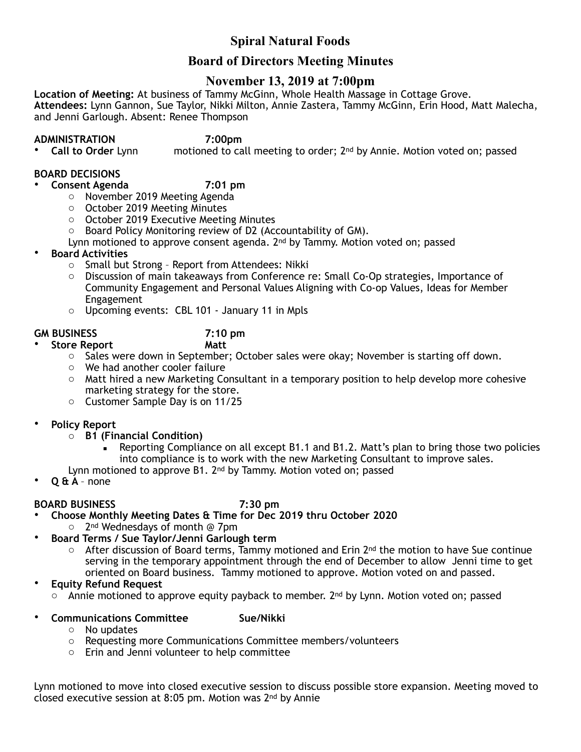# **Spiral Natural Foods**

# **Board of Directors Meeting Minutes**

## **November 13, 2019 at 7:00pm**

**Location of Meeting:** At business of Tammy McGinn, Whole Health Massage in Cottage Grove. **Attendees:** Lynn Gannon, Sue Taylor, Nikki Milton, Annie Zastera, Tammy McGinn, Erin Hood, Matt Malecha, and Jenni Garlough. Absent: Renee Thompson

**ADMINISTRATION** 7:00pm<br>Call to Order Lynn **motioned** to ca motioned to call meeting to order; 2<sup>nd</sup> by Annie. Motion voted on; passed

### **BOARD DECISIONS**

• **Consent Agenda 7:01 pm** 

- o November 2019 Meeting Agenda
- o October 2019 Meeting Minutes
- o October 2019 Executive Meeting Minutes
- o Board Policy Monitoring review of D2 (Accountability of GM).
- Lynn motioned to approve consent agenda. 2nd by Tammy. Motion voted on; passed
- **Board Activities**
	- o Small but Strong Report from Attendees: Nikki
	- o Discussion of main takeaways from Conference re: Small Co-Op strategies, Importance of Community Engagement and Personal Values Aligning with Co-op Values, Ideas for Member Engagement
	- o Upcoming events: CBL 101 January 11 in Mpls

- **Store Report**
- **GM BUSINESS 7:10 pm** 
	- o Sales were down in September; October sales were okay; November is starting off down.
	- o We had another cooler failure
	- $\circ$  Matt hired a new Marketing Consultant in a temporary position to help develop more cohesive marketing strategy for the store.
	- o Customer Sample Day is on 11/25
- **Policy Report**
	- o **B1 (Financial Condition)** 
		- Reporting Compliance on all except B1.1 and B1.2. Matt's plan to bring those two policies into compliance is to work with the new Marketing Consultant to improve sales.
	- Lynn motioned to approve B1. 2<sup>nd</sup> by Tammy. Motion voted on; passed
- **Q & A**  none

### **BOARD BUSINESS 7:30 pm**

- **Choose Monthly Meeting Dates & Time for Dec 2019 thru October 2020** 
	- o 2nd Wednesdays of month @ 7pm
- **Board Terms / Sue Taylor/Jenni Garlough term**
	- $\circ$  After discussion of Board terms, Tammy motioned and Erin 2<sup>nd</sup> the motion to have Sue continue serving in the temporary appointment through the end of December to allow Jenni time to get oriented on Board business. Tammy motioned to approve. Motion voted on and passed.
- **Equity Refund Request**
	- $\circ$  Annie motioned to approve equity payback to member. 2<sup>nd</sup> by Lynn. Motion voted on; passed
	- **Communications Committee Sue/Nikki**
		-
- o No updates
- o Requesting more Communications Committee members/volunteers
- o Erin and Jenni volunteer to help committee

Lynn motioned to move into closed executive session to discuss possible store expansion. Meeting moved to closed executive session at 8:05 pm. Motion was 2nd by Annie